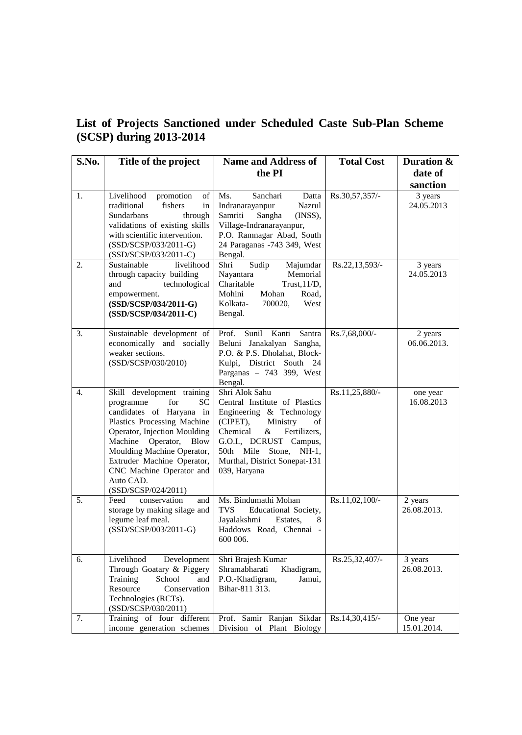|  | List of Projects Sanctioned under Scheduled Caste Sub-Plan Scheme |  |  |  |
|--|-------------------------------------------------------------------|--|--|--|
|  | $(SCSP)$ during 2013-2014                                         |  |  |  |

| S.No.            | Title of the project                                                                                                                                                                                                                                                                                  | <b>Name and Address of</b>                                                                                                                                                                                                                         | <b>Total Cost</b> | Duration &              |
|------------------|-------------------------------------------------------------------------------------------------------------------------------------------------------------------------------------------------------------------------------------------------------------------------------------------------------|----------------------------------------------------------------------------------------------------------------------------------------------------------------------------------------------------------------------------------------------------|-------------------|-------------------------|
|                  |                                                                                                                                                                                                                                                                                                       | the PI                                                                                                                                                                                                                                             |                   | date of                 |
|                  |                                                                                                                                                                                                                                                                                                       |                                                                                                                                                                                                                                                    |                   | sanction                |
| 1.               | Livelihood<br>promotion<br>of<br>traditional<br>fishers<br>in<br>Sundarbans<br>through<br>validations of existing skills<br>with scientific intervention.<br>(SSD/SCSP/033/2011-G)<br>(SSD/SCSP/033/2011-C)                                                                                           | Ms.<br>Sanchari<br>Datta<br>Nazrul<br>Indranarayanpur<br>Sangha<br>Samriti<br>(INSS),<br>Village-Indranarayanpur,<br>P.O. Ramnagar Abad, South<br>24 Paraganas -743 349, West<br>Bengal.                                                           | Rs.30,57,357/-    | 3 years<br>24.05.2013   |
| 2.               | Sustainable<br>livelihood<br>through capacity building<br>and<br>technological<br>empowerment.<br>(SSD/SCSP/034/2011-G)<br>(SSD/SCSP/034/2011-C)                                                                                                                                                      | Sudip<br>Shri<br>Majumdar<br>Memorial<br>Nayantara<br>Charitable<br>Trust, $11/D$ ,<br>Mohini<br>Mohan<br>Road,<br>Kolkata-<br>700020,<br>West<br>Bengal.                                                                                          | Rs.22,13,593/-    | 3 years<br>24.05.2013   |
| 3.               | Sustainable development of<br>economically and socially<br>weaker sections.<br>(SSD/SCSP/030/2010)                                                                                                                                                                                                    | Sunil<br>Kanti<br>Santra<br>Prof.<br>Beluni Janakalyan Sangha,<br>P.O. & P.S. Dholahat, Block-<br>Kulpi, District South 24<br>Parganas - 743 399, West<br>Bengal.                                                                                  | Rs.7,68,000/-     | 2 years<br>06.06.2013.  |
| $\overline{4}$ . | Skill development training<br>for<br>programme<br>SС<br>candidates of Haryana in<br>Plastics Processing Machine<br>Operator, Injection Moulding<br>Machine Operator, Blow<br>Moulding Machine Operator,<br>Extruder Machine Operator,<br>CNC Machine Operator and<br>Auto CAD.<br>(SSD/SCSP/024/2011) | Shri Alok Sahu<br>Central Institute of Plastics<br>Engineering & Technology<br>(CIPET),<br>Ministry<br>οf<br>$\&$<br>Chemical<br>Fertilizers,<br>G.O.I., DCRUST Campus,<br>50th Mile Stone, NH-1,<br>Murthal, District Sonepat-131<br>039, Haryana | Rs.11,25,880/-    | one year<br>16.08.2013  |
| 5.               | Feed<br>conservation<br>and<br>storage by making silage and<br>legume leaf meal.<br>(SSD/SCSP/003/2011-G)                                                                                                                                                                                             | Ms. Bindumathi Mohan<br><b>TVS</b><br>Educational Society,<br>Jayalakshmi<br>Estates,<br>8<br>Haddows Road, Chennai -<br>600 006.                                                                                                                  | Rs.11,02,100/-    | 2 years<br>26.08.2013.  |
| 6.               | Livelihood<br>Development<br>Through Goatary & Piggery<br>Training<br>School<br>and<br>Resource<br>Conservation<br>Technologies (RCTs).<br>(SSD/SCSP/030/2011)                                                                                                                                        | Shri Brajesh Kumar<br>Shramabharati<br>Khadigram,<br>P.O.-Khadigram,<br>Jamui,<br>Bihar-811 313.                                                                                                                                                   | Rs.25,32,407/-    | 3 years<br>26.08.2013.  |
| 7.               | Training of four different<br>income generation schemes                                                                                                                                                                                                                                               | Prof. Samir Ranjan Sikdar<br>Division of Plant Biology                                                                                                                                                                                             | Rs.14,30,415/-    | One year<br>15.01.2014. |